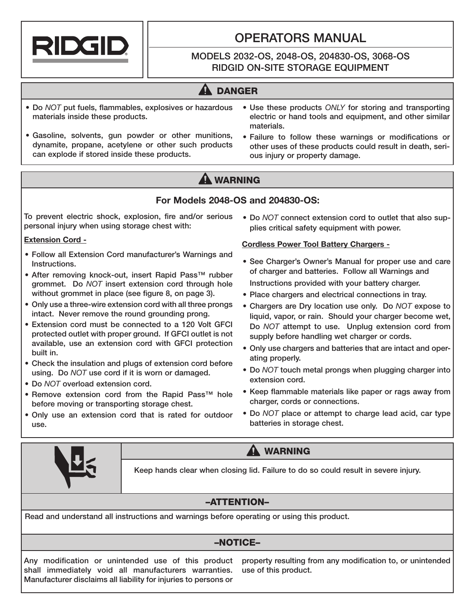

# OPERATORS MANUAL

## MODELS 2032-OS, 2048-OS, 204830-OS, 3068-OS RIDGID ON-SITE STORAGE EQUIPMENT

# **A DANGER**

- Do *NOT* put fuels, flammables, explosives or hazardous materials inside these products.
- Gasoline, solvents, gun powder or other munitions, dynamite, propane, acetylene or other such products can explode if stored inside these products.
- Use these products *ONLY* for storing and transporting electric or hand tools and equipment, and other similar materials.
- Failure to follow these warnings or modifications or other uses of these products could result in death, serious injury or property damage.

# **A** WARNING

## **For Models 2048-OS and 204830-OS:**

To prevent electric shock, explosion, fire and/or serious • Do *NOT* connect extension cord to outlet that also suppersonal injury when using storage chest with:

#### **Extension Cord -**

- Follow all Extension Cord manufacturer's Warnings and Instructions.
- After removing knock-out, insert Rapid Pass™ rubber grommet. Do *NOT* insert extension cord through hole without grommet in place (see figure 8, on page 3).
- Only use a three-wire extension cord with all three prongs intact. Never remove the round grounding prong.
- Extension cord must be connected to a 120 Volt GFCI protected outlet with proper ground. If GFCI outlet is not available, use an extension cord with GFCI protection built in.
- Check the insulation and plugs of extension cord before using. Do *NOT* use cord if it is worn or damaged.
- Do *NOT* overload extension cord.
- Remove extension cord from the Rapid Pass™ hole before moving or transporting storage chest.
- Only use an extension cord that is rated for outdoor use.

# plies critical safety equipment with power.

### **Cordless Power Tool Battery Chargers -**

- See Charger's Owner's Manual for proper use and care of charger and batteries. Follow all Warnings and Instructions provided with your battery charger.
- Place chargers and electrical connections in tray.
- Chargers are Dry location use only. Do *NOT* expose to liquid, vapor, or rain. Should your charger become wet, Do *NOT* attempt to use. Unplug extension cord from supply before handling wet charger or cords.
- Only use chargers and batteries that are intact and operating properly.
- Do *NOT* touch metal prongs when plugging charger into extension cord.
- Keep flammable materials like paper or rags away from charger, cords or connections.
- Do *NOT* place or attempt to charge lead acid, car type batteries in storage chest.



**A WARNING** 

Keep hands clear when closing lid. Failure to do so could result in severe injury.

# –ATTENTION–

Read and understand all instructions and warnings before operating or using this product.

## –NOTICE–

Any modification or unintended use of this product shall immediately void all manufacturers warranties. Manufacturer disclaims all liability for injuries to persons or

property resulting from any modification to, or unintended use of this product.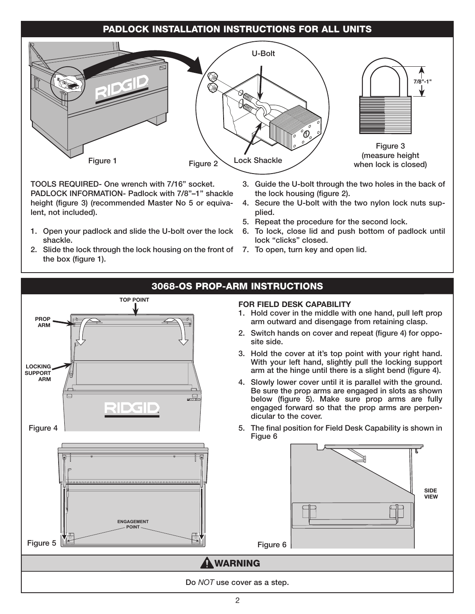## PADLOCK INSTALLATION INSTRUCTIONS FOR ALL UNITS



TOOLS REQUIRED- One wrench with 7/16" socket. PADLOCK INFORMATION- Padlock with 7/8"–1" shackle height (figure 3) (recommended Master No 5 or equivalent, not included).

- 1. Open your padlock and slide the U-bolt over the lock shackle.
- 2. Slide the lock through the lock housing on the front of 7. To open, turn key and open lid. the box (figure 1).
- 3. Guide the U-bolt through the two holes in the back of the lock housing (figure 2).
- 4. Secure the U-bolt with the two nylon lock nuts supplied.
- 5. Repeat the procedure for the second lock.
- 6. To lock, close lid and push bottom of padlock until lock "clicks" closed.
	-

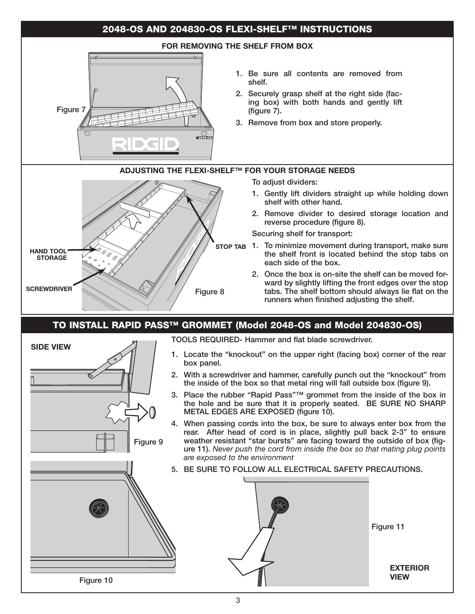